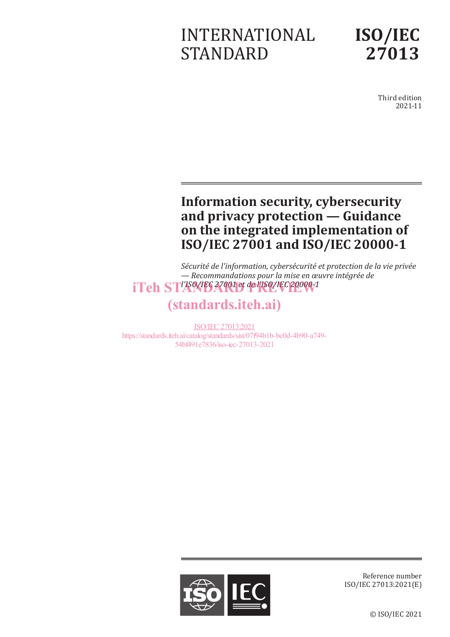# INTERNATIONAL STANDARD



Third edition 2021-11

## **Information security, cybersecurity and privacy protection — Guidance on the integrated implementation of ISO/IEC 27001 and ISO/IEC 20000-1**

*Sécurité de l'information, cybersécurité et protection de la vie privée — Recommandations pour la mise en œuvre intégrée de*  iTeh ST<sup>rygquec</sup> 27001 et de l'ISO/IEC 20000-1

## (standards.iteh.ai)

ISO/IEC 27013:2021 https://standards.iteh.ai/catalog/standards/sist/07f94b1b-bc0d-4b90-a749- 54bf491e7836/iso-iec-27013-2021



Reference number ISO/IEC 27013:2021(E)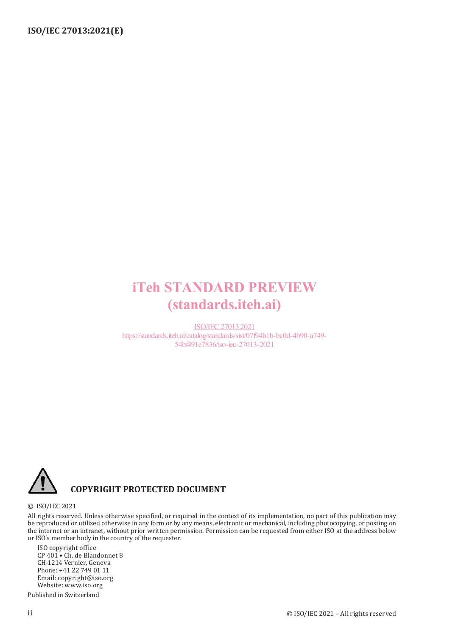## iTeh STANDARD PREVIEW (standards.iteh.ai)

ISO/IEC 27013:2021 https://standards.iteh.ai/catalog/standards/sist/07f94b1b-bc0d-4b90-a749- 54bf491e7836/iso-iec-27013-2021



### **COPYRIGHT PROTECTED DOCUMENT**

#### © ISO/IEC 2021

All rights reserved. Unless otherwise specified, or required in the context of its implementation, no part of this publication may be reproduced or utilized otherwise in any form or by any means, electronic or mechanical, including photocopying, or posting on the internet or an intranet, without prior written permission. Permission can be requested from either ISO at the address below or ISO's member body in the country of the requester.

ISO copyright office CP 401 • Ch. de Blandonnet 8 CH-1214 Vernier, Geneva Phone: +41 22 749 01 11 Email: copyright@iso.org Website: www.iso.org

Published in Switzerland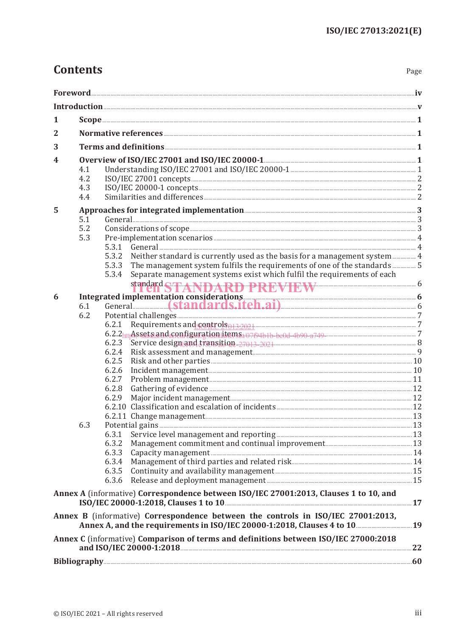### **Contents**

Page

| 1                                                                                    |                                                                                                                                                                                                                                |       |                                                                                                                                |  |  |
|--------------------------------------------------------------------------------------|--------------------------------------------------------------------------------------------------------------------------------------------------------------------------------------------------------------------------------|-------|--------------------------------------------------------------------------------------------------------------------------------|--|--|
| 2                                                                                    |                                                                                                                                                                                                                                |       |                                                                                                                                |  |  |
|                                                                                      |                                                                                                                                                                                                                                |       |                                                                                                                                |  |  |
| 3                                                                                    | Terms and definitions <b>Executive Executive Contract 1</b>                                                                                                                                                                    |       |                                                                                                                                |  |  |
| 4                                                                                    |                                                                                                                                                                                                                                |       |                                                                                                                                |  |  |
|                                                                                      | 4.1                                                                                                                                                                                                                            |       |                                                                                                                                |  |  |
|                                                                                      | 4.2                                                                                                                                                                                                                            |       |                                                                                                                                |  |  |
|                                                                                      | 4.3                                                                                                                                                                                                                            |       |                                                                                                                                |  |  |
|                                                                                      | 4.4                                                                                                                                                                                                                            |       |                                                                                                                                |  |  |
| 5                                                                                    |                                                                                                                                                                                                                                |       |                                                                                                                                |  |  |
|                                                                                      | 5.1                                                                                                                                                                                                                            |       |                                                                                                                                |  |  |
|                                                                                      | 5.2<br>5.3                                                                                                                                                                                                                     |       |                                                                                                                                |  |  |
|                                                                                      |                                                                                                                                                                                                                                |       |                                                                                                                                |  |  |
|                                                                                      |                                                                                                                                                                                                                                |       | 5.3.2 Neither standard is currently used as the basis for a management system  4                                               |  |  |
|                                                                                      |                                                                                                                                                                                                                                | 5.3.3 |                                                                                                                                |  |  |
|                                                                                      |                                                                                                                                                                                                                                | 5.3.4 | Separate management systems exist which fulfil the requirements of each                                                        |  |  |
|                                                                                      |                                                                                                                                                                                                                                |       |                                                                                                                                |  |  |
|                                                                                      |                                                                                                                                                                                                                                |       | standard STANDARD PREVIEW                                                                                                      |  |  |
| 6                                                                                    | Integrated implementation considerations 6.1 General Constant Constant Constant Constant Constant Constant Constant Constant Constant Constant Constant Constant Constant Constant Constant Constant Constant Constant Constan |       |                                                                                                                                |  |  |
|                                                                                      | 6.2                                                                                                                                                                                                                            |       |                                                                                                                                |  |  |
|                                                                                      |                                                                                                                                                                                                                                | 6.2.1 |                                                                                                                                |  |  |
|                                                                                      |                                                                                                                                                                                                                                |       |                                                                                                                                |  |  |
|                                                                                      |                                                                                                                                                                                                                                | 6.2.3 |                                                                                                                                |  |  |
|                                                                                      |                                                                                                                                                                                                                                | 6.2.4 |                                                                                                                                |  |  |
|                                                                                      |                                                                                                                                                                                                                                | 6.2.5 |                                                                                                                                |  |  |
|                                                                                      |                                                                                                                                                                                                                                | 6.2.6 |                                                                                                                                |  |  |
|                                                                                      |                                                                                                                                                                                                                                | 6.2.7 |                                                                                                                                |  |  |
|                                                                                      |                                                                                                                                                                                                                                | 6.2.8 |                                                                                                                                |  |  |
|                                                                                      |                                                                                                                                                                                                                                | 6.2.9 |                                                                                                                                |  |  |
|                                                                                      |                                                                                                                                                                                                                                |       | 6.2.10 Classification and escalation of incidents <b>Constitution</b> and the season of incidents <b>Constitution</b> and $12$ |  |  |
|                                                                                      | 6.3                                                                                                                                                                                                                            |       |                                                                                                                                |  |  |
|                                                                                      |                                                                                                                                                                                                                                | 6.3.1 |                                                                                                                                |  |  |
|                                                                                      |                                                                                                                                                                                                                                | 6.3.2 |                                                                                                                                |  |  |
|                                                                                      |                                                                                                                                                                                                                                | 6.3.3 |                                                                                                                                |  |  |
|                                                                                      |                                                                                                                                                                                                                                | 6.3.4 |                                                                                                                                |  |  |
|                                                                                      |                                                                                                                                                                                                                                | 6.3.5 |                                                                                                                                |  |  |
|                                                                                      |                                                                                                                                                                                                                                | 6.3.6 |                                                                                                                                |  |  |
|                                                                                      |                                                                                                                                                                                                                                |       | Annex A (informative) Correspondence between ISO/IEC 27001:2013, Clauses 1 to 10, and                                          |  |  |
|                                                                                      |                                                                                                                                                                                                                                |       |                                                                                                                                |  |  |
|                                                                                      | Annex B (informative) Correspondence between the controls in ISO/IEC 27001:2013,                                                                                                                                               |       |                                                                                                                                |  |  |
|                                                                                      | Annex A, and the requirements in ISO/IEC 20000-1:2018, Clauses 4 to 10 <b>Manual 20000-1:2018</b> ,                                                                                                                            |       |                                                                                                                                |  |  |
| Annex C (informative) Comparison of terms and definitions between ISO/IEC 27000:2018 |                                                                                                                                                                                                                                |       |                                                                                                                                |  |  |
|                                                                                      |                                                                                                                                                                                                                                |       |                                                                                                                                |  |  |
|                                                                                      |                                                                                                                                                                                                                                |       |                                                                                                                                |  |  |
|                                                                                      |                                                                                                                                                                                                                                |       |                                                                                                                                |  |  |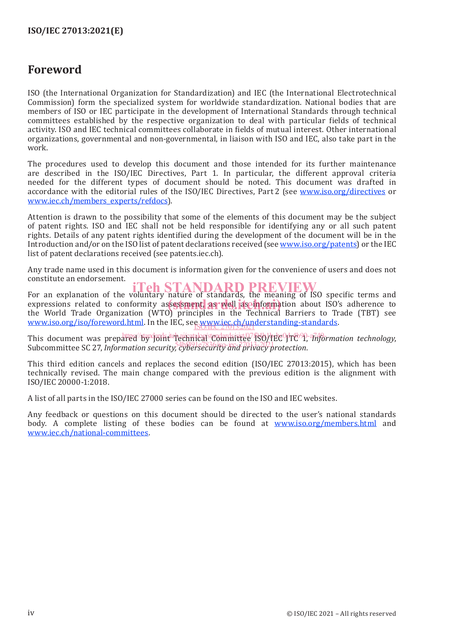### **Foreword**

ISO (the International Organization for Standardization) and IEC (the International Electrotechnical Commission) form the specialized system for worldwide standardization. National bodies that are members of ISO or IEC participate in the development of International Standards through technical committees established by the respective organization to deal with particular fields of technical activity. ISO and IEC technical committees collaborate in fields of mutual interest. Other international organizations, governmental and non-governmental, in liaison with ISO and IEC, also take part in the work.

The procedures used to develop this document and those intended for its further maintenance are described in the ISO/IEC Directives, Part 1. In particular, the different approval criteria needed for the different types of document should be noted. This document was drafted in accordance with the editorial rules of the ISO/IEC Directives, Part 2 (see www.iso.org/directives or www.iec.ch/members\_experts/refdocs).

Attention is drawn to the possibility that some of the elements of this document may be the subject of patent rights. ISO and IEC shall not be held responsible for identifying any or all such patent rights. Details of any patent rights identified during the development of the document will be in the Introduction and/or on the ISO list of patent declarations received (see www.iso.org/patents) or the IEC list of patent declarations received (see patents.iec.ch).

Any trade name used in this document is information given for the convenience of users and does not constitute an endorsement.

For an explanation of the voluntary nature of standards, the meaning of ISO specific terms and expressions related to conformity assessment, as well as information about ISO's adherence to the World Trade Organization (WTO) principles in the Technical Perriers to Trade (TPT) see the World Trade Organization (WTO) principles in the Technical Barriers to Trade (TBT) see www.iso.org/iso/foreword.html. In the IEC, see www.iec.ch/understanding-standards. ISO/IEC 27013:2021 iTeh STANDARD PREVIEW

This document was prepared by Joint Technical Schmickie (180) pcc of t<sup>he o</sup>f *information technology*, subcommittee SC 27, *Information security, cybersecurity and privacy protection*.

This third edition cancels and replaces the second edition (ISO/IEC 27013:2015), which has been technically revised. The main change compared with the previous edition is the alignment with ISO/IEC 20000-1:2018.

A list of all parts in the ISO/IEC 27000 series can be found on the ISO and IEC websites.

Any feedback or questions on this document should be directed to the user's national standards body. A complete listing of these bodies can be found at www.iso.org/members.html and www.iec.ch/national-committees.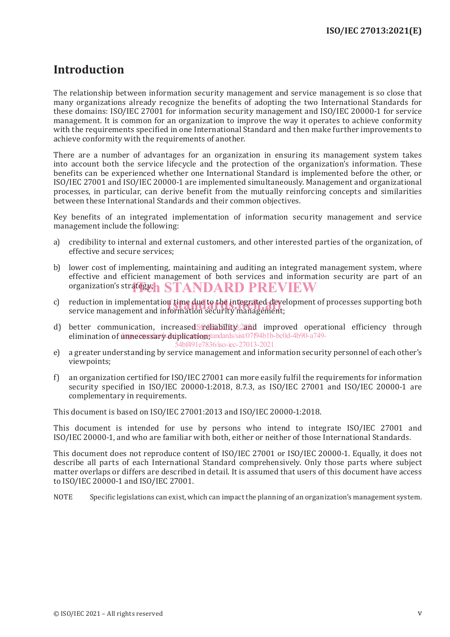### **Introduction**

The relationship between information security management and service management is so close that many organizations already recognize the benefits of adopting the two International Standards for these domains: ISO/IEC 27001 for information security management and ISO/IEC 20000-1 for service management. It is common for an organization to improve the way it operates to achieve conformity with the requirements specified in one International Standard and then make further improvements to achieve conformity with the requirements of another.

There are a number of advantages for an organization in ensuring its management system takes into account both the service lifecycle and the protection of the organization's information. These benefits can be experienced whether one International Standard is implemented before the other, or ISO/IEC 27001 and ISO/IEC 20000-1 are implemented simultaneously. Management and organizational processes, in particular, can derive benefit from the mutually reinforcing concepts and similarities between these International Standards and their common objectives.

Key benefits of an integrated implementation of information security management and service management include the following:

- a) credibility to internal and external customers, and other interested parties of the organization, of effective and secure services;
- b) lower cost of implementing, maintaining and auditing an integrated management system, where effective and efficient management of both services and information security are part of an organization's strategy; **h** STANDARD PREVIEW
- c) reduction in implementation time due to the integrated development of processes supporting both service management and information security management: service management and information security management;
- d) better communication, increased SOE liability 2and improved operational efficiency through elimination of unnecessary duplication; tandards/sist/07f94b1b-bc0d-4b90-a749-54bf491e7836/iso-iec-27013-2021
- e) a greater understanding by service management and information security personnel of each other's viewpoints;
- f) an organization certified for ISO/IEC 27001 can more easily fulfil the requirements for information security specified in ISO/IEC 20000-1:2018, 8.7.3, as ISO/IEC 27001 and ISO/IEC 20000-1 are complementary in requirements.

This document is based on ISO/IEC 27001:2013 and ISO/IEC 20000-1:2018.

This document is intended for use by persons who intend to integrate ISO/IEC 27001 and ISO/IEC 20000-1, and who are familiar with both, either or neither of those International Standards.

This document does not reproduce content of ISO/IEC 27001 or ISO/IEC 20000-1. Equally, it does not describe all parts of each International Standard comprehensively. Only those parts where subject matter overlaps or differs are described in detail. It is assumed that users of this document have access to ISO/IEC 20000-1 and ISO/IEC 27001.

NOTE Specific legislations can exist, which can impact the planning of an organization's management system.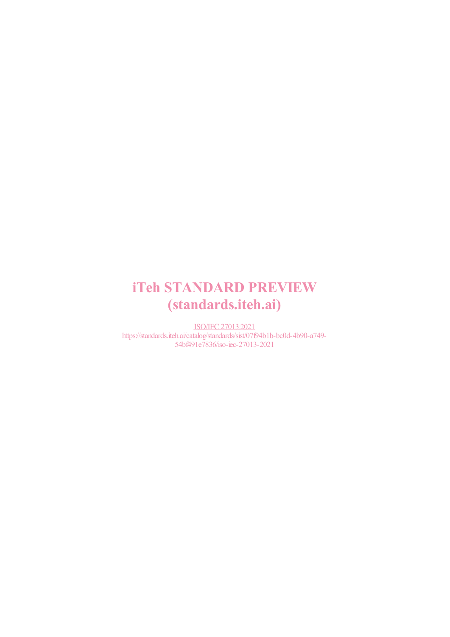## iTeh STANDARD PREVIEW (standards.iteh.ai)

ISO/IEC 27013:2021 https://standards.iteh.ai/catalog/standards/sist/07f94b1b-bc0d-4b90-a749- 54bf491e7836/iso-iec-27013-2021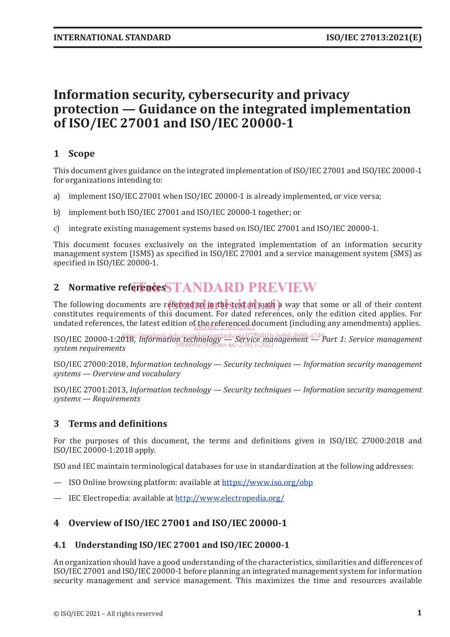### **Information security, cybersecurity and privacy protection — Guidance on the integrated implementation of ISO/IEC 27001 and ISO/IEC 20000-1**

#### **1 Scope**

This document gives guidance on the integrated implementation of ISO/IEC 27001 and ISO/IEC 20000-1 for organizations intending to:

- a) implement ISO/IEC 27001 when ISO/IEC 20000-1 is already implemented, or vice versa;
- b) implement both ISO/IEC 27001 and ISO/IEC 20000-1 together; or
- c) integrate existing management systems based on ISO/IEC 27001 and ISO/IEC 20000-1.

This document focuses exclusively on the integrated implementation of an information security management system (ISMS) as specified in ISO/IEC 27001 and a service management system (SMS) as specified in ISO/IEC 20000-1.

## 2 Normative referencesSTANDARD PREVIEW

The following documents are referred to in the text of such a way that some or all of their content content constitutes requirements of this document. For dated references, only the edition cited applies. For undated references, the latest edition o<u>f the referenced d</u>ocument (including any amendments) applies.

ISO/IEC 20000-1:2018, *Information aicatalogy tendards/sist/07f94b1b-bc0d-4b90-a749-Part 1: Service management system requirements* 54bf491e7836/iso-iec-27013-2021

ISO/IEC 27000:2018, *Information technology — Security techniques — Information security management systems — Overview and vocabulary*

ISO/IEC 27001:2013, *Information technology — Security techniques — Information security management systems — Requirements*

#### **3 Terms and definitions**

For the purposes of this document, the terms and definitions given in ISO/IEC 27000:2018 and ISO/IEC 20000-1:2018 apply.

ISO and IEC maintain terminological databases for use in standardization at the following addresses:

- ISO Online browsing platform: available at https://www.iso.org/obp
- IEC Electropedia: available at http://www.electropedia.org/

#### **4 Overview of ISO/IEC 27001 and ISO/IEC 20000-1**

#### **4.1 Understanding ISO/IEC 27001 and ISO/IEC 20000-1**

An organization should have a good understanding of the characteristics, similarities and differences of ISO/IEC 27001 and ISO/IEC 20000-1 before planning an integrated management system for information security management and service management. This maximizes the time and resources available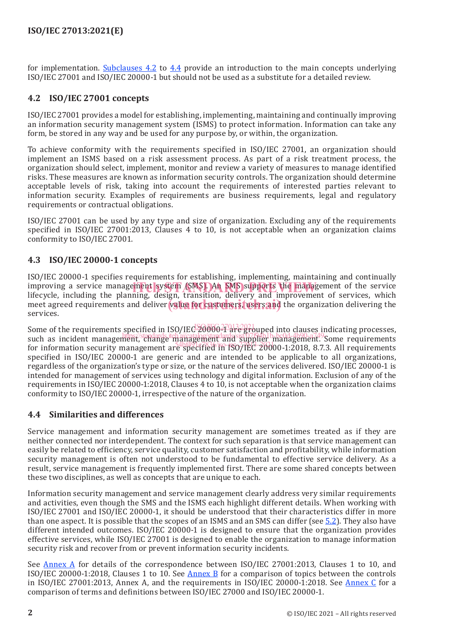#### **ISO/IEC 27013:2021(E)**

for implementation. Subclauses  $4.2$  to  $4.4$  provide an introduction to the main concepts underlying ISO/IEC 27001 and ISO/IEC 20000-1 but should not be used as a substitute for a detailed review.

#### **4.2 ISO/IEC 27001 concepts**

ISO/IEC 27001 provides a model for establishing, implementing, maintaining and continually improving an information security management system (ISMS) to protect information. Information can take any form, be stored in any way and be used for any purpose by, or within, the organization.

To achieve conformity with the requirements specified in ISO/IEC 27001, an organization should implement an ISMS based on a risk assessment process. As part of a risk treatment process, the organization should select, implement, monitor and review a variety of measures to manage identified risks. These measures are known as information security controls. The organization should determine acceptable levels of risk, taking into account the requirements of interested parties relevant to information security. Examples of requirements are business requirements, legal and regulatory requirements or contractual obligations.

ISO/IEC 27001 can be used by any type and size of organization. Excluding any of the requirements specified in ISO/IEC 27001:2013, Clauses 4 to 10, is not acceptable when an organization claims conformity to ISO/IEC 27001.

#### **4.3 ISO/IEC 20000-1 concepts**

ISO/IEC 20000-1 specifies requirements for establishing, implementing, maintaining and continually improving a service management system (SMS). An SMS supports the management of the service<br>lifecycle, including the planning design transition delivery and improvement of services which lifecycle, including the planning, design, transition, delivery and improvement of services, which meet agreed requirements and deliver **value for customers, users and** the organization delivering the annual meet agreed requirements and deliver **value for customers**, users and services.

Some of the requirements specified in ISO/IEC  $\frac{20000270132021}{20000}$  and into clauses indicating processes, such as incident management, change management and supplier management. Some requirements for information management, enarge management are specified in ISO/IEC 20000-1:2018, 8.7.3. All requirements specified in ISO/IEC 20000-1 are generic and are intended to be applicable to all organizations, regardless of the organization's type or size, or the nature of the services delivered. ISO/IEC 20000-1 is intended for management of services using technology and digital information. Exclusion of any of the requirements in ISO/IEC 20000-1:2018, Clauses 4 to 10, is not acceptable when the organization claims conformity to ISO/IEC 20000-1, irrespective of the nature of the organization.

#### **4.4 Similarities and differences**

Service management and information security management are sometimes treated as if they are neither connected nor interdependent. The context for such separation is that service management can easily be related to efficiency, service quality, customer satisfaction and profitability, while information security management is often not understood to be fundamental to effective service delivery. As a result, service management is frequently implemented first. There are some shared concepts between these two disciplines, as well as concepts that are unique to each.

Information security management and service management clearly address very similar requirements and activities, even though the SMS and the ISMS each highlight different details. When working with ISO/IEC 27001 and ISO/IEC 20000-1, it should be understood that their characteristics differ in more than one aspect. It is possible that the scopes of an ISMS and an SMS can differ (see 5.2). They also have different intended outcomes. ISO/IEC 20000-1 is designed to ensure that the organization provides effective services, while ISO/IEC 27001 is designed to enable the organization to manage information security risk and recover from or prevent information security incidents.

See Annex A for details of the correspondence between ISO/IEC 27001:2013, Clauses 1 to 10, and ISO/IEC 20000-1:2018, Clauses 1 to 10. See Annex B for a comparison of topics between the controls in ISO/IEC 27001:2013, Annex A, and the requirements in ISO/IEC 20000-1:2018. See Annex C for a comparison of terms and definitions between ISO/IEC 27000 and ISO/IEC 20000-1.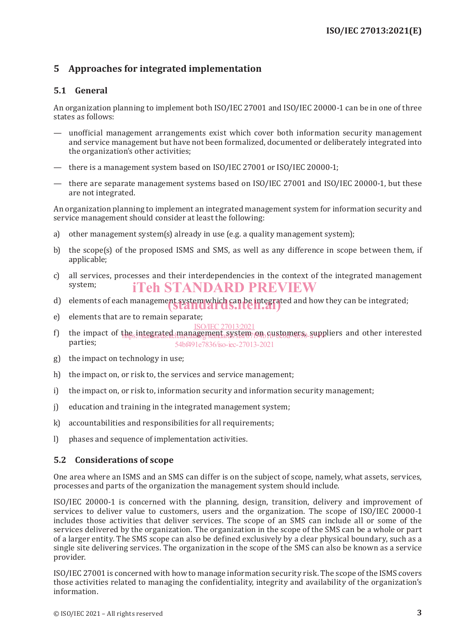#### **5 Approaches for integrated implementation**

#### **5.1 General**

An organization planning to implement both ISO/IEC 27001 and ISO/IEC 20000-1 can be in one of three states as follows:

- unofficial management arrangements exist which cover both information security management and service management but have not been formalized, documented or deliberately integrated into the organization's other activities;
- there is a management system based on ISO/IEC 27001 or ISO/IEC 20000-1;
- there are separate management systems based on ISO/IEC 27001 and ISO/IEC 20000-1, but these are not integrated.

An organization planning to implement an integrated management system for information security and service management should consider at least the following:

- a) other management system(s) already in use (e.g. a quality management system);
- b) the scope(s) of the proposed ISMS and SMS, as well as any difference in scope between them, if applicable;
- c) all services, processes and their interdependencies in the context of the integrated management system; iTeh STANDARD PREVIEW
- d) elements of each management system which can be integrated and how they can be integrated;
- e) elements that are to remain separate;
- f) the impact of the integrated management system on customers, suppliers and other interested parties; ISO/IEC 27013:2021 54bf491e7836/iso-iec-27013-2021
- g) the impact on technology in use;
- h) the impact on, or risk to, the services and service management;
- i) the impact on, or risk to, information security and information security management;
- j) education and training in the integrated management system;
- k) accountabilities and responsibilities for all requirements;
- l) phases and sequence of implementation activities.

#### **5.2 Considerations of scope**

One area where an ISMS and an SMS can differ is on the subject of scope, namely, what assets, services, processes and parts of the organization the management system should include.

ISO/IEC 20000-1 is concerned with the planning, design, transition, delivery and improvement of services to deliver value to customers, users and the organization. The scope of ISO/IEC 20000-1 includes those activities that deliver services. The scope of an SMS can include all or some of the services delivered by the organization. The organization in the scope of the SMS can be a whole or part of a larger entity. The SMS scope can also be defined exclusively by a clear physical boundary, such as a single site delivering services. The organization in the scope of the SMS can also be known as a service provider.

ISO/IEC 27001 is concerned with how to manage information security risk. The scope of the ISMS covers those activities related to managing the confidentiality, integrity and availability of the organization's information.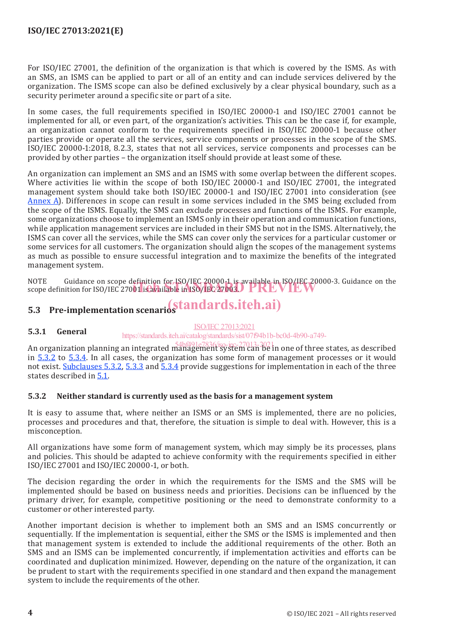For ISO/IEC 27001, the definition of the organization is that which is covered by the ISMS. As with an SMS, an ISMS can be applied to part or all of an entity and can include services delivered by the organization. The ISMS scope can also be defined exclusively by a clear physical boundary, such as a security perimeter around a specific site or part of a site.

In some cases, the full requirements specified in ISO/IEC 20000-1 and ISO/IEC 27001 cannot be implemented for all, or even part, of the organization's activities. This can be the case if, for example, an organization cannot conform to the requirements specified in ISO/IEC 20000-1 because other parties provide or operate all the services, service components or processes in the scope of the SMS. ISO/IEC 20000-1:2018, 8.2.3, states that not all services, service components and processes can be provided by other parties – the organization itself should provide at least some of these.

An organization can implement an SMS and an ISMS with some overlap between the different scopes. Where activities lie within the scope of both ISO/IEC 20000-1 and ISO/IEC 27001, the integrated management system should take both ISO/IEC 20000-1 and ISO/IEC 27001 into consideration (see Annex A). Differences in scope can result in some services included in the SMS being excluded from the scope of the ISMS. Equally, the SMS can exclude processes and functions of the ISMS. For example, some organizations choose to implement an ISMS only in their operation and communication functions, while application management services are included in their SMS but not in the ISMS. Alternatively, the ISMS can cover all the services, while the SMS can cover only the services for a particular customer or some services for all customers. The organization should align the scopes of the management systems as much as possible to ensure successful integration and to maximize the benefits of the integrated management system.

NOTE Guidance on scope definition for ISO/IEC 20000-1 is available in ISO/IEC 20000-3. Guidance on the NOTE Guidance on scope definition for ISO/IEC 20000-1 is available in ISO/IEC 2000<br>scope definition for ISO/IEC 27001 is available in ISO/IEC 27003.

# **5.3 Pre-implementation scenarios** (standards.iteh.ai)

#### ISO/IEC 27013:2021

**5.3.1 General** https://standards.iteh.ai/catalog/standards/sist/07f94b1b-bc0d-4b90-a749-

An organization planning an integrated management system can be in one of three states, as described in 5.3.2 to 5.3.4. In all cases, the organization has some form of management processes or it would not exist. Subclauses 5.3.2, 5.3.3 and 5.3.4 provide suggestions for implementation in each of the three states described in 5.1.

#### **5.3.2 Neither standard is currently used as the basis for a management system**

It is easy to assume that, where neither an ISMS or an SMS is implemented, there are no policies, processes and procedures and that, therefore, the situation is simple to deal with. However, this is a misconception.

All organizations have some form of management system, which may simply be its processes, plans and policies. This should be adapted to achieve conformity with the requirements specified in either ISO/IEC 27001 and ISO/IEC 20000-1, or both.

The decision regarding the order in which the requirements for the ISMS and the SMS will be implemented should be based on business needs and priorities. Decisions can be influenced by the primary driver, for example, competitive positioning or the need to demonstrate conformity to a customer or other interested party.

Another important decision is whether to implement both an SMS and an ISMS concurrently or sequentially. If the implementation is sequential, either the SMS or the ISMS is implemented and then that management system is extended to include the additional requirements of the other. Both an SMS and an ISMS can be implemented concurrently, if implementation activities and efforts can be coordinated and duplication minimized. However, depending on the nature of the organization, it can be prudent to start with the requirements specified in one standard and then expand the management system to include the requirements of the other.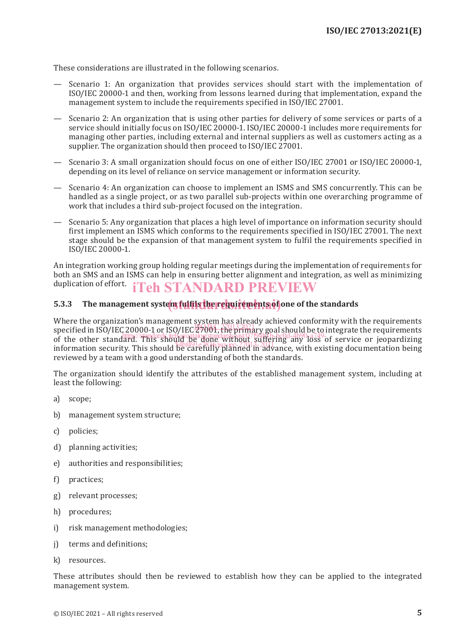These considerations are illustrated in the following scenarios.

- Scenario 1: An organization that provides services should start with the implementation of ISO/IEC 20000-1 and then, working from lessons learned during that implementation, expand the management system to include the requirements specified in ISO/IEC 27001.
- Scenario 2: An organization that is using other parties for delivery of some services or parts of a service should initially focus on ISO/IEC 20000-1. ISO/IEC 20000-1 includes more requirements for managing other parties, including external and internal suppliers as well as customers acting as a supplier. The organization should then proceed to ISO/IEC 27001.
- Scenario 3: A small organization should focus on one of either ISO/IEC 27001 or ISO/IEC 20000-1, depending on its level of reliance on service management or information security.
- Scenario 4: An organization can choose to implement an ISMS and SMS concurrently. This can be handled as a single project, or as two parallel sub-projects within one overarching programme of work that includes a third sub-project focused on the integration.
- Scenario 5: Any organization that places a high level of importance on information security should first implement an ISMS which conforms to the requirements specified in ISO/IEC 27001. The next stage should be the expansion of that management system to fulfil the requirements specified in ISO/IEC 20000-1.

An integration working group holding regular meetings during the implementation of requirements for both an SMS and an ISMS can help in ensuring better alignment and integration, as well as minimizing duplication of effort. iTeh STANDARD PREVIEW

## **5.3.3 The management system fulfils the requirements of one of the standards** (standards.iteh.ai)

Where the organization's management system has already achieved conformity with the requirements where the organization's management by order the primary goal should be to integrate the requirements specified in ISO/IEC 27001. The primary goal should be to integrate the requirements of the other standard. This should be done without suffering any loss of service or jeopardizing information security. This should be carefully planned in advance, with existing documentation being reviewed by a team with a good understanding of both the standards.  $\frac{1200000}{\frac{1}{2}}$  for the  $\frac{1}{2}$  and  $\frac{1}{2}$  and  $\frac{1}{2}$  and  $\frac{1}{2}$  because  $\frac{1}{2}$  because  $\frac{1}{2}$  and  $\frac{1}{2}$  and  $\frac{1}{2}$  and  $\frac{1}{2}$  and  $\frac{1}{2}$  and  $\frac{1}{2}$  and  $\frac{1}{2}$  and  $\frac{1}{2}$  and  $\$ 54bf491e7836/iso-iec-27013-2021

The organization should identify the attributes of the established management system, including at least the following:

- a) scope;
- b) management system structure;
- c) policies;
- d) planning activities;
- e) authorities and responsibilities;
- f) practices;
- g) relevant processes;
- h) procedures;
- i) risk management methodologies;
- j) terms and definitions;
- k) resources.

These attributes should then be reviewed to establish how they can be applied to the integrated management system.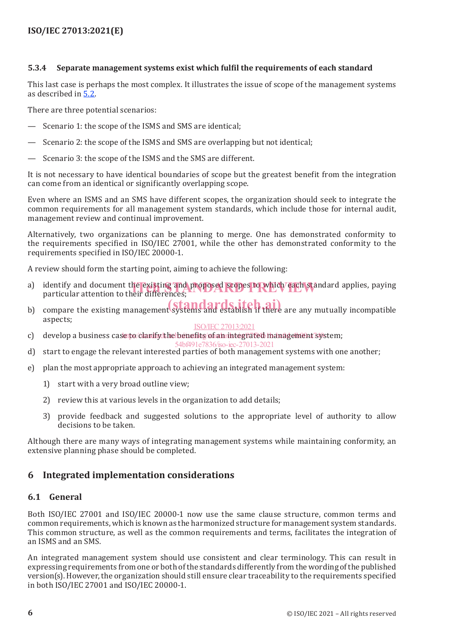#### **ISO/IEC 27013:2021(E)**

#### **5.3.4 Separate management systems exist which fulfil the requirements of each standard**

This last case is perhaps the most complex. It illustrates the issue of scope of the management systems as described in 5.2.

There are three potential scenarios:

- Scenario 1: the scope of the ISMS and SMS are identical;
- Scenario 2: the scope of the ISMS and SMS are overlapping but not identical;
- Scenario 3: the scope of the ISMS and the SMS are different.

It is not necessary to have identical boundaries of scope but the greatest benefit from the integration can come from an identical or significantly overlapping scope.

Even where an ISMS and an SMS have different scopes, the organization should seek to integrate the common requirements for all management system standards, which include those for internal audit, management review and continual improvement.

Alternatively, two organizations can be planning to merge. One has demonstrated conformity to the requirements specified in ISO/IEC 27001, while the other has demonstrated conformity to the requirements specified in ISO/IEC 20000-1.

A review should form the starting point, aiming to achieve the following:

- a) identify and document the existing and proposed scopes to which each standard applies, paying<br>particular attention to their differences: particular attention to their differences;
- b) compare the existing management systems and establish if there are any mutually incompatible aspects;
- c) develop a business casetto/clarify/the/benefits/of an integrated management system; ISO/IEC 27013:2021
- 54bf491e7836/iso-iec-27013-2021
- d) start to engage the relevant interested parties of both management systems with one another;
- e) plan the most appropriate approach to achieving an integrated management system:
	- 1) start with a very broad outline view;
	- 2) review this at various levels in the organization to add details;
	- 3) provide feedback and suggested solutions to the appropriate level of authority to allow decisions to be taken.

Although there are many ways of integrating management systems while maintaining conformity, an extensive planning phase should be completed.

#### **6 Integrated implementation considerations**

#### **6.1 General**

Both ISO/IEC 27001 and ISO/IEC 20000-1 now use the same clause structure, common terms and common requirements, which is known as the harmonized structure for management system standards. This common structure, as well as the common requirements and terms, facilitates the integration of an ISMS and an SMS.

An integrated management system should use consistent and clear terminology. This can result in expressing requirements from one or both of the standards differently from the wording of the published version(s). However, the organization should still ensure clear traceability to the requirements specified in both ISO/IEC 27001 and ISO/IEC 20000-1.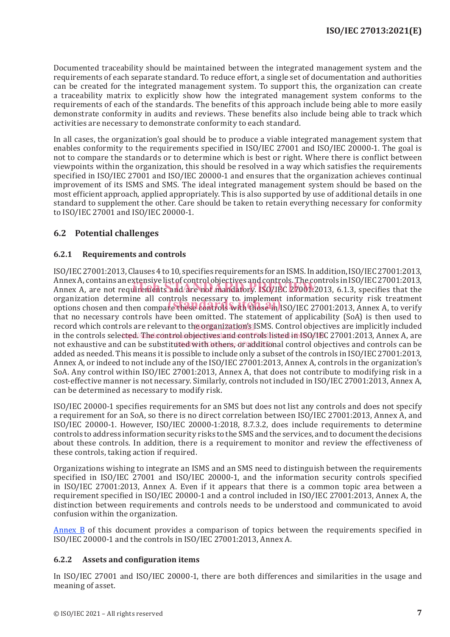Documented traceability should be maintained between the integrated management system and the requirements of each separate standard. To reduce effort, a single set of documentation and authorities can be created for the integrated management system. To support this, the organization can create a traceability matrix to explicitly show how the integrated management system conforms to the requirements of each of the standards. The benefits of this approach include being able to more easily demonstrate conformity in audits and reviews. These benefits also include being able to track which activities are necessary to demonstrate conformity to each standard.

In all cases, the organization's goal should be to produce a viable integrated management system that enables conformity to the requirements specified in ISO/IEC 27001 and ISO/IEC 20000-1. The goal is not to compare the standards or to determine which is best or right. Where there is conflict between viewpoints within the organization, this should be resolved in a way which satisfies the requirements specified in ISO/IEC 27001 and ISO/IEC 20000-1 and ensures that the organization achieves continual improvement of its ISMS and SMS. The ideal integrated management system should be based on the most efficient approach, applied appropriately. This is also supported by use of additional details in one standard to supplement the other. Care should be taken to retain everything necessary for conformity to ISO/IEC 27001 and ISO/IEC 20000-1.

#### **6.2 Potential challenges**

#### **6.2.1 Requirements and controls**

ISO/IEC 27001:2013, Clauses4 to 10, specifies requirements for an ISMS. In addition, ISO/IEC 27001:2013, Annex A, contains an extensive list of control objectives and controls. The controls in ISO/IEC 27001:2013, Annex A, contains an extensive use of control objectives and controls. The controls in iSO/IEC 27001:2013,<br>Annex A, are not requirements and are not mandatory. ISO/IEC 27001:2013, 6.1.3, specifies that the organization determine all controls necessary to implement information security risk treatment organization determine all controls necessary to implement information security risk treatment<br>options chosen and then compare these controls with those in ISO/IEC 27001:2013, Annex A, to verify that no necessary controls have been omitted. The statement of applicability (SoA) is then used to record which controls are relevant to the organization's ISMS. Control objectives are implicitly included in the controls selected/The control objectives and controls listed in ISO/IEC 27001:2013, Annex A, are not exhaustive and can be substituted with others, or additional control objectives and controls can be added as needed. This means it is possible to include only a subset of the controls in ISO/IEC 27001:2013, Annex A, or indeed to not include any of the ISO/IEC 27001:2013, Annex A, controls in the organization's SoA. Any control within ISO/IEC 27001:2013, Annex A, that does not contribute to modifying risk in a cost-effective manner is not necessary. Similarly, controls not included in ISO/IEC 27001:2013, Annex A, can be determined as necessary to modify risk.

ISO/IEC 20000-1 specifies requirements for an SMS but does not list any controls and does not specify a requirement for an SoA, so there is no direct correlation between ISO/IEC 27001:2013, Annex A, and ISO/IEC 20000-1. However, ISO/IEC 20000-1:2018, 8.7.3.2, does include requirements to determine controls to address information security risks to the SMS and the services, and to document the decisions about these controls. In addition, there is a requirement to monitor and review the effectiveness of these controls, taking action if required.

Organizations wishing to integrate an ISMS and an SMS need to distinguish between the requirements specified in ISO/IEC 27001 and ISO/IEC 20000-1, and the information security controls specified in ISO/IEC 27001:2013, Annex A. Even if it appears that there is a common topic area between a requirement specified in ISO/IEC 20000-1 and a control included in ISO/IEC 27001:2013, Annex A, the distinction between requirements and controls needs to be understood and communicated to avoid confusion within the organization.

Annex B of this document provides a comparison of topics between the requirements specified in ISO/IEC 20000-1 and the controls in ISO/IEC 27001:2013, Annex A.

#### **6.2.2 Assets and configuration items**

In ISO/IEC 27001 and ISO/IEC 20000-1, there are both differences and similarities in the usage and meaning of asset.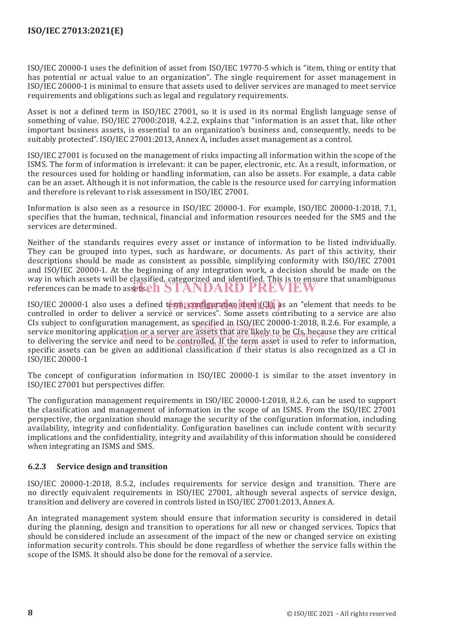ISO/IEC 20000-1 uses the definition of asset from ISO/IEC 19770-5 which is "item, thing or entity that has potential or actual value to an organization". The single requirement for asset management in ISO/IEC 20000-1 is minimal to ensure that assets used to deliver services are managed to meet service requirements and obligations such as legal and regulatory requirements.

Asset is not a defined term in ISO/IEC 27001, so it is used in its normal English language sense of something of value. ISO/IEC 27000:2018, 4.2.2, explains that "information is an asset that, like other important business assets, is essential to an organization's business and, consequently, needs to be suitably protected". ISO/IEC 27001:2013, Annex A, includes asset management as a control.

ISO/IEC 27001 is focused on the management of risks impacting all information within the scope of the ISMS. The form of information is irrelevant: it can be paper, electronic, etc. As a result, information, or the resources used for holding or handling information, can also be assets. For example, a data cable can be an asset. Although it is not information, the cable is the resource used for carrying information and therefore is relevant to risk assessment in ISO/IEC 27001.

Information is also seen as a resource in ISO/IEC 20000-1. For example, ISO/IEC 20000-1:2018, 7.1, specifies that the human, technical, financial and information resources needed for the SMS and the services are determined.

Neither of the standards requires every asset or instance of information to be listed individually. They can be grouped into types, such as hardware, or documents. As part of this activity, their descriptions should be made as consistent as possible, simplifying conformity with ISO/IEC 27001 and ISO/IEC 20000-1. At the beginning of any integration work, a decision should be made on the way in which assets will be classified, categorized and identified. This is to ensure that unambiguous references can be made to assets. Ch STANDARD PREVIEW

ISO/IEC 20000-1 also uses a defined term, configuration item  $(C_i)$ , as an "element that needs to be controlled in order to deliver a convice on approximation is a convictive to a conviction of the state of the state of th controlled in order to deliver a service or services". Some assets contributing to a service are also CIs subject to configuration management, as specified in ISO/IEC 20000-1:2018, 8.2.6. For example, a<br>ISO/IEC 27013:2021 list of the case of the contract of the contract of the contract of the contract of the cas service monitoring application or a server are assets that are likely to be CIs, because they are critical https://standards.iteh.ai/catalog/standards/sist/07f94b1b-bc0d-4b90-a749 to delivering the service and need to be controlled. If the term asset is used to refer to information,<br>specific exacts surely sixteen and difficulties in the service of the state is also assemined as a CI in specific assets can be given an additional classification if their status is also recognized as a CI in ISO/IEC 20000-1

The concept of configuration information in ISO/IEC 20000-1 is similar to the asset inventory in ISO/IEC 27001 but perspectives differ.

The configuration management requirements in ISO/IEC 20000-1:2018, 8.2.6, can be used to support the classification and management of information in the scope of an ISMS. From the ISO/IEC 27001 perspective, the organization should manage the security of the configuration information, including availability, integrity and confidentiality. Configuration baselines can include content with security implications and the confidentiality, integrity and availability of this information should be considered when integrating an ISMS and SMS.

#### **6.2.3 Service design and transition**

ISO/IEC 20000-1:2018, 8.5.2, includes requirements for service design and transition. There are no directly equivalent requirements in ISO/IEC 27001, although several aspects of service design, transition and delivery are covered in controls listed in ISO/IEC 27001:2013, Annex A.

An integrated management system should ensure that information security is considered in detail during the planning, design and transition to operations for all new or changed services. Topics that should be considered include an assessment of the impact of the new or changed service on existing information security controls. This should be done regardless of whether the service falls within the scope of the ISMS. It should also be done for the removal of a service.